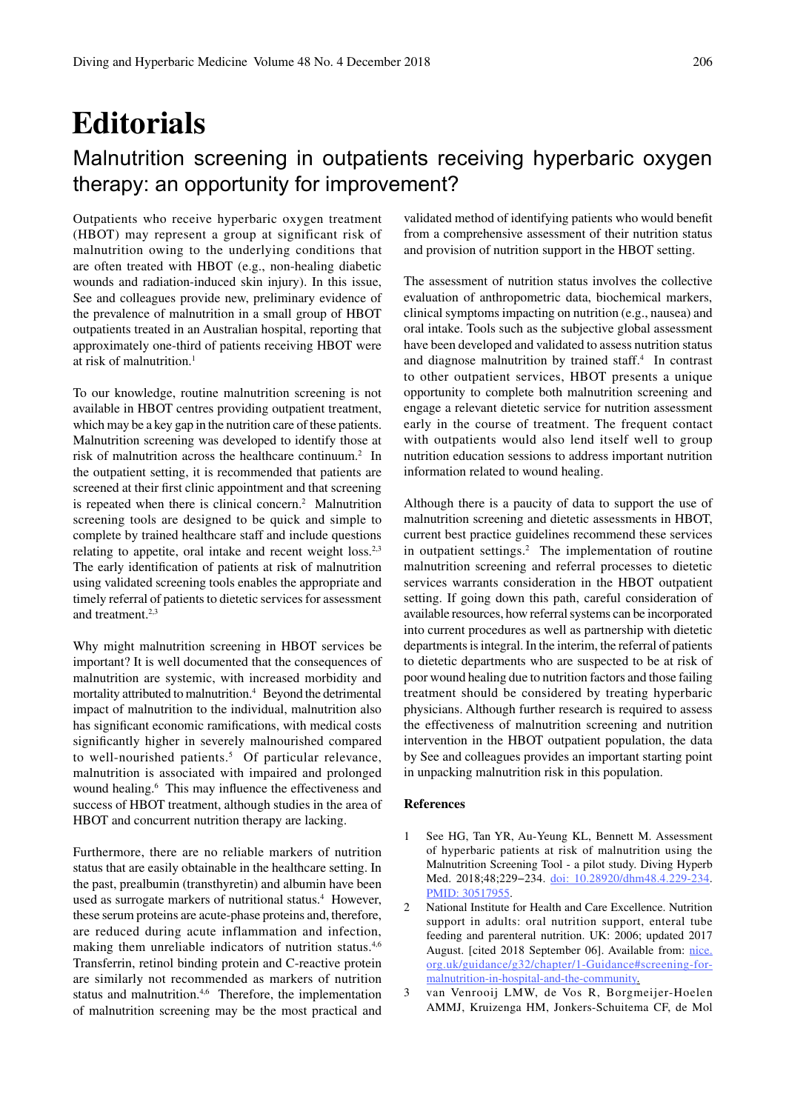## **Editorials**

## Malnutrition screening in outpatients receiving hyperbaric oxygen therapy: an opportunity for improvement?

Outpatients who receive hyperbaric oxygen treatment (HBOT) may represent a group at significant risk of malnutrition owing to the underlying conditions that are often treated with HBOT (e.g., non-healing diabetic wounds and radiation-induced skin injury). In this issue, See and colleagues provide new, preliminary evidence of the prevalence of malnutrition in a small group of HBOT outpatients treated in an Australian hospital, reporting that approximately one-third of patients receiving HBOT were at risk of malnutrition.<sup>1</sup>

To our knowledge, routine malnutrition screening is not available in HBOT centres providing outpatient treatment, which may be a key gap in the nutrition care of these patients. Malnutrition screening was developed to identify those at risk of malnutrition across the healthcare continuum.2 In the outpatient setting, it is recommended that patients are screened at their first clinic appointment and that screening is repeated when there is clinical concern.<sup>2</sup> Malnutrition screening tools are designed to be quick and simple to complete by trained healthcare staff and include questions relating to appetite, oral intake and recent weight  $loss.^{2,3}$ The early identification of patients at risk of malnutrition using validated screening tools enables the appropriate and timely referral of patients to dietetic services for assessment and treatment.<sup>2,3</sup>

Why might malnutrition screening in HBOT services be important? It is well documented that the consequences of malnutrition are systemic, with increased morbidity and mortality attributed to malnutrition.<sup>4</sup> Beyond the detrimental impact of malnutrition to the individual, malnutrition also has significant economic ramifications, with medical costs significantly higher in severely malnourished compared to well-nourished patients.<sup>5</sup> Of particular relevance, malnutrition is associated with impaired and prolonged wound healing.6 This may influence the effectiveness and success of HBOT treatment, although studies in the area of HBOT and concurrent nutrition therapy are lacking.

Furthermore, there are no reliable markers of nutrition status that are easily obtainable in the healthcare setting. In the past, prealbumin (transthyretin) and albumin have been used as surrogate markers of nutritional status.<sup>4</sup> However, these serum proteins are acute-phase proteins and, therefore, are reduced during acute inflammation and infection, making them unreliable indicators of nutrition status.<sup>4,6</sup> Transferrin, retinol binding protein and C-reactive protein are similarly not recommended as markers of nutrition status and malnutrition.<sup>4,6</sup> Therefore, the implementation of malnutrition screening may be the most practical and

validated method of identifying patients who would benefit from a comprehensive assessment of their nutrition status and provision of nutrition support in the HBOT setting.

The assessment of nutrition status involves the collective evaluation of anthropometric data, biochemical markers, clinical symptoms impacting on nutrition (e.g., nausea) and oral intake. Tools such as the subjective global assessment have been developed and validated to assess nutrition status and diagnose malnutrition by trained staff.<sup>4</sup> In contrast to other outpatient services, HBOT presents a unique opportunity to complete both malnutrition screening and engage a relevant dietetic service for nutrition assessment early in the course of treatment. The frequent contact with outpatients would also lend itself well to group nutrition education sessions to address important nutrition information related to wound healing.

Although there is a paucity of data to support the use of malnutrition screening and dietetic assessments in HBOT, current best practice guidelines recommend these services in outpatient settings.<sup>2</sup> The implementation of routine malnutrition screening and referral processes to dietetic services warrants consideration in the HBOT outpatient setting. If going down this path, careful consideration of available resources, how referral systems can be incorporated into current procedures as well as partnership with dietetic departments is integral. In the interim, the referral of patients to dietetic departments who are suspected to be at risk of poor wound healing due to nutrition factors and those failing treatment should be considered by treating hyperbaric physicians. Although further research is required to assess the effectiveness of malnutrition screening and nutrition intervention in the HBOT outpatient population, the data by See and colleagues provides an important starting point in unpacking malnutrition risk in this population.

## **References**

- 1 See HG, Tan YR, Au-Yeung KL, Bennett M. Assessment of hyperbaric patients at risk of malnutrition using the Malnutrition Screening Tool - a pilot study. Diving Hyperb Med. 2018;48;229−234. doi: 10.28920/dhm48.4.229-234. PMID: 30517955.
- 2 National Institute for Health and Care Excellence. Nutrition support in adults: oral nutrition support, enteral tube feeding and parenteral nutrition. UK: 2006; updated 2017 August. [cited 2018 September 06]. Available from: nice. org.uk/guidance/g32/chapter/1-Guidance#screening-formalnutrition-in-hospital-and-the-community.
- 3 van Venrooij LMW, de Vos R, Borgmeijer-Hoelen AMMJ, Kruizenga HM, Jonkers-Schuitema CF, de Mol